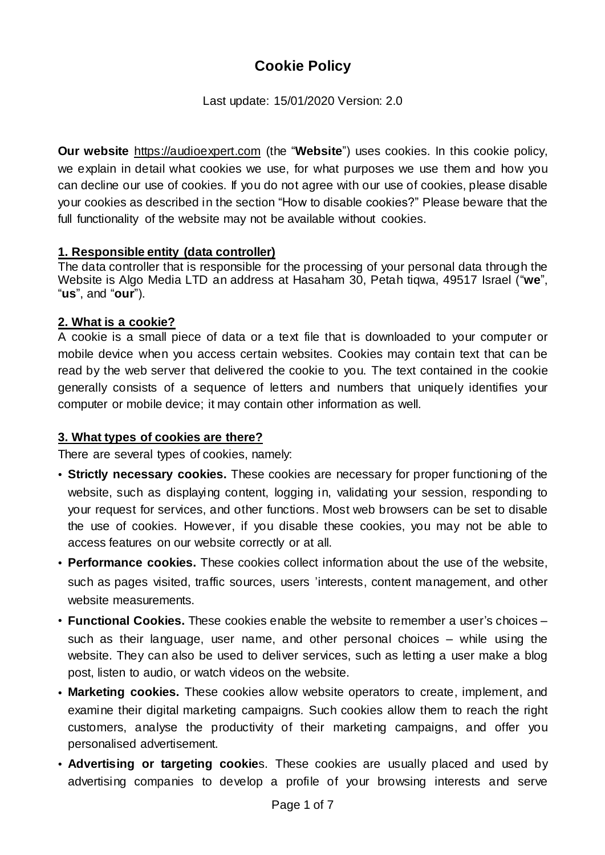# **Cookie Policy**

Last update: 15/01/2020 Version: 2.0

**Our website** [https://audioexpert.com](https://audioexpert.com/) (the "**Website**") uses cookies. In this cookie policy, we explain in detail what cookies we use, for what purposes we use them and how you can decline our use of cookies. If you do not agree with our use of cookies, please disable your cookies as described in the section "How to disable cookies?" Please beware that the full functionality of the website may not be available without cookies.

### **1. Responsible entity (data controller)**

The data controller that is responsible for the processing of your personal data through the Website is Algo Media LTD an address at Hasaham 30, Petah tiqwa, 49517 Israel ("**we**", "**us**", and "**our**").

### **2. What is a cookie?**

A cookie is a small piece of data or a text file that is downloaded to your computer or mobile device when you access certain websites. Cookies may contain text that can be read by the web server that delivered the cookie to you. The text contained in the cookie generally consists of a sequence of letters and numbers that uniquely identifies your computer or mobile device; it may contain other information as well.

#### **3. What types of cookies are there?**

There are several types of cookies, namely:

- **Strictly necessary cookies.** These cookies are necessary for proper functioning of the website, such as displaying content, logging in, validating your session, responding to your request for services, and other functions. Most web browsers can be set to disable the use of cookies. However, if you disable these cookies, you may not be able to access features on our website correctly or at all.
- **Performance cookies.** These cookies collect information about the use of the website, such as pages visited, traffic sources, users 'interests, content management, and other website measurements.
- **Functional Cookies.** These cookies enable the website to remember a user's choices such as their language, user name, and other personal choices – while using the website. They can also be used to deliver services, such as letting a user make a blog post, listen to audio, or watch videos on the website.
- **Marketing cookies.** These cookies allow website operators to create, implement, and examine their digital marketing campaigns. Such cookies allow them to reach the right customers, analyse the productivity of their marketing campaigns, and offer you personalised advertisement.
- **Advertising or targeting cookie**s. These cookies are usually placed and used by advertising companies to develop a profile of your browsing interests and serve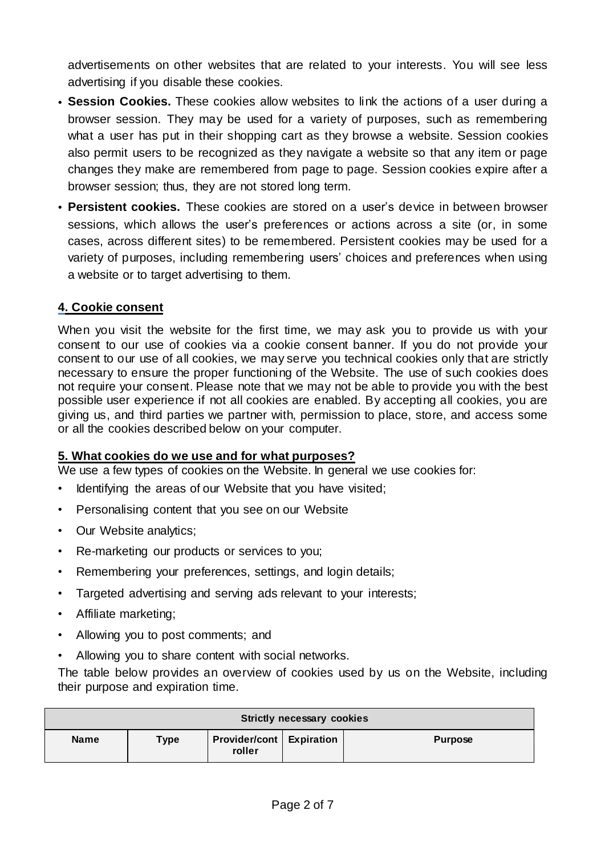advertisements on other websites that are related to your interests. You will see less advertising if you disable these cookies.

- **Session Cookies.** These cookies allow websites to link the actions of a user during a browser session. They may be used for a variety of purposes, such as remembering what a user has put in their shopping cart as they browse a website. Session cookies also permit users to be recognized as they navigate a website so that any item or page changes they make are remembered from page to page. Session cookies expire after a browser session; thus, they are not stored long term.
- **Persistent cookies.** These cookies are stored on a user's device in between browser sessions, which allows the user's preferences or actions across a site (or, in some cases, across different sites) to be remembered. Persistent cookies may be used for a variety of purposes, including remembering users' choices and preferences when using a website or to target advertising to them.

#### **4. Cookie consent**

When you visit the website for the first time, we may ask you to provide us with your consent to our use of cookies via a cookie consent banner. If you do not provide your consent to our use of all cookies, we may serve you technical cookies only that are strictly necessary to ensure the proper functioning of the Website. The use of such cookies does not require your consent. Please note that we may not be able to provide you with the best possible user experience if not all cookies are enabled. By accepting all cookies, you are giving us, and third parties we partner with, permission to place, store, and access some or all the cookies described below on your computer.

#### **5. What cookies do we use and for what purposes?**

We use a few types of cookies on the Website. In general we use cookies for:

- Identifying the areas of our Website that you have visited;
- Personalising content that you see on our Website
- Our Website analytics;
- Re-marketing our products or services to you;
- Remembering your preferences, settings, and login details;
- Targeted advertising and serving ads relevant to your interests;
- Affiliate marketing;
- Allowing you to post comments; and
- Allowing you to share content with social networks.

The table below provides an overview of cookies used by us on the Website, including their purpose and expiration time.

| <b>Strictly necessary cookies</b> |             |                                             |  |                |  |  |  |
|-----------------------------------|-------------|---------------------------------------------|--|----------------|--|--|--|
| <b>Name</b>                       | <b>Type</b> | <b>Provider/cont   Expiration</b><br>roller |  | <b>Purpose</b> |  |  |  |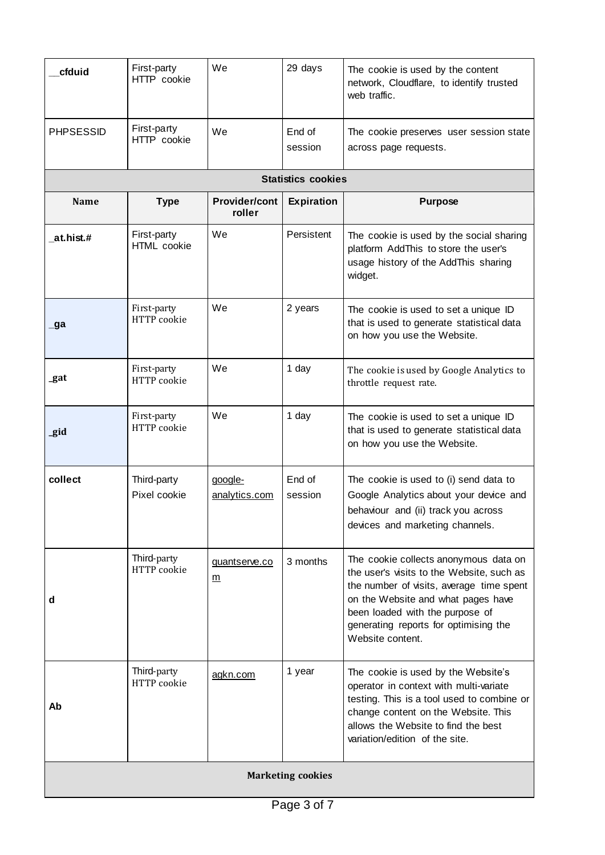| cfduid                    | First-party<br>HTTP cookie  | We                             | 29 days           | The cookie is used by the content<br>network, Cloudflare, to identify trusted<br>web traffic.                                                                                                                                                                        |  |  |  |  |
|---------------------------|-----------------------------|--------------------------------|-------------------|----------------------------------------------------------------------------------------------------------------------------------------------------------------------------------------------------------------------------------------------------------------------|--|--|--|--|
| <b>PHPSESSID</b>          | First-party<br>HTTP cookie  | We                             | End of<br>session | The cookie preserves user session state<br>across page requests.                                                                                                                                                                                                     |  |  |  |  |
| <b>Statistics cookies</b> |                             |                                |                   |                                                                                                                                                                                                                                                                      |  |  |  |  |
| <b>Name</b>               | <b>Type</b>                 | <b>Provider/cont</b><br>roller | <b>Expiration</b> | <b>Purpose</b>                                                                                                                                                                                                                                                       |  |  |  |  |
| at.hist.#                 | First-party<br>HTML cookie  | We                             | Persistent        | The cookie is used by the social sharing<br>platform AddThis to store the user's<br>usage history of the AddThis sharing<br>widget.                                                                                                                                  |  |  |  |  |
| _ga                       | First-party<br>HTTP cookie  | We                             | 2 years           | The cookie is used to set a unique ID<br>that is used to generate statistical data<br>on how you use the Website.                                                                                                                                                    |  |  |  |  |
| _gat                      | First-party<br>HTTP cookie  | We                             | 1 day             | The cookie is used by Google Analytics to<br>throttle request rate.                                                                                                                                                                                                  |  |  |  |  |
| _gid                      | First-party<br>HTTP cookie  | We                             | 1 day             | The cookie is used to set a unique ID<br>that is used to generate statistical data<br>on how you use the Website.                                                                                                                                                    |  |  |  |  |
| collect                   | Third-party<br>Pixel cookie | google-<br>analytics.com       | End of<br>session | The cookie is used to (i) send data to<br>Google Analytics about your device and<br>behaviour and (ii) track you across<br>devices and marketing channels.                                                                                                           |  |  |  |  |
| d                         | Third-party<br>HTTP cookie  | quantserve.co<br><u>m</u>      | 3 months          | The cookie collects anonymous data on<br>the user's visits to the Website, such as<br>the number of visits, average time spent<br>on the Website and what pages have<br>been loaded with the purpose of<br>generating reports for optimising the<br>Website content. |  |  |  |  |
| Ab                        | Third-party<br>HTTP cookie  | agkn.com                       | 1 year            | The cookie is used by the Website's<br>operator in context with multi-variate<br>testing. This is a tool used to combine or<br>change content on the Website. This<br>allows the Website to find the best<br>variation/edition of the site.                          |  |  |  |  |
| <b>Marketing cookies</b>  |                             |                                |                   |                                                                                                                                                                                                                                                                      |  |  |  |  |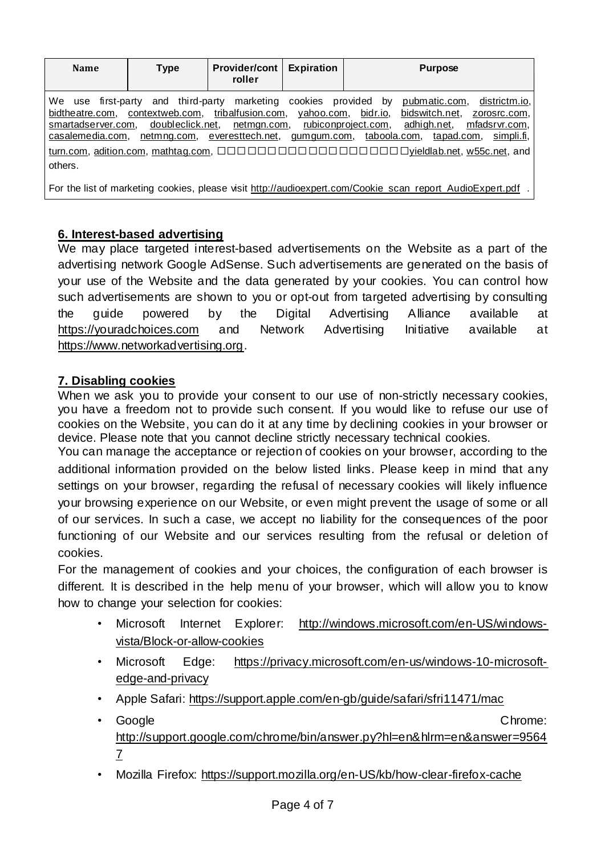| <b>Name</b>                                                                                | <b>Type</b>                                                                             | <b>Provider/cont</b><br>roller               | <b>Expiration</b>     | <b>Purpose</b>                                                                                                                                                                                                   |
|--------------------------------------------------------------------------------------------|-----------------------------------------------------------------------------------------|----------------------------------------------|-----------------------|------------------------------------------------------------------------------------------------------------------------------------------------------------------------------------------------------------------|
| We use first-party<br>bidtheatre.com,<br>smartadserver.com,<br>casalemedia.com,<br>others. | and third-party<br>contextweb.com, tribalfusion.com,<br>doubleclick.net,<br>netmng.com, | marketing<br>netmgn.com,<br>everesttech.net, | cookies<br>yahoo.com, | provided by<br>districtm.io,<br>pubmatic.com,<br>bidr.io,<br>bidswitch.net,<br>zorosrc.com,<br>rubiconproject.com,<br>adhigh.net,<br>mfadsrvr.com,<br>si <u>mpli.fi</u> ,<br>gumgum.com, taboola.com, tapad.com, |

For the list of marketing cookies, please visit [http://audioexpert.com/Cookie\\_scan\\_report\\_AudioExpert.pdf](http://audioexpert.com/Cookie_scan_report_AudioExpert.pdf) .

### **6. Interest-based advertising**

We may place targeted interest-based advertisements on the Website as a part of the advertising network Google AdSense. Such advertisements are generated on the basis of your use of the Website and the data generated by your cookies. You can control how such advertisements are shown to you or opt-out from targeted advertising by consulting the guide powered by the Digital Advertising Alliance available at [https://youradchoices.com](https://youradchoices.com/) and Network Advertising Initiative available at [https://www.networkadvertising.org.](https://www.networkadvertising.org/)

#### **7. Disabling cookies**

When we ask you to provide your consent to our use of non-strictly necessary cookies, you have a freedom not to provide such consent. If you would like to refuse our use of cookies on the Website, you can do it at any time by declining cookies in your browser or device. Please note that you cannot decline strictly necessary technical cookies.

You can manage the acceptance or rejection of cookies on your browser, according to the additional information provided on the below listed links. Please keep in mind that any settings on your browser, regarding the refusal of necessary cookies will likely influence your browsing experience on our Website, or even might prevent the usage of some or all of our services. In such a case, we accept no liability for the consequences of the poor functioning of our Website and our services resulting from the refusal or deletion of cookies.

For the management of cookies and your choices, the configuration of each browser is different. It is described in the help menu of your browser, which will allow you to know how to change your selection for cookies:

- Microsoft Internet Explorer: [http://windows.microsoft.com/en-US/windows](http://windows.microsoft.com/en-US/windows-vista/Block-or-allow-cookies)[vista/Block-or-allow-cookies](http://windows.microsoft.com/en-US/windows-vista/Block-or-allow-cookies)
- Microsoft Edge: [https://privacy.microsoft.com/en-us/windows-10-microsoft](https://privacy.microsoft.com/en-us/windows-10-microsoft-edge-and-privacy)[edge-and-privacy](https://privacy.microsoft.com/en-us/windows-10-microsoft-edge-and-privacy)
- Apple Safari: <https://support.apple.com/en-gb/guide/safari/sfri11471/mac>
- Google **Chrome:** Chrome: Chrome: Chrome: Chrome: Chrome: Chrome: Chrome: Chrome: Chrome: Chrome: Chrome: Chrome: Chrome: Chrome: Chrome: Chrome: Chrome: Chrome: Chrome: Chrome: Chrome: Chrome: Chrome: Chrome: Chrome: Chr [http://support.google.com/chrome/bin/answer.py?hl=en&hlrm=en&answer=9564](http://support.google.com/chrome/bin/answer.py?hl=en&hlrm=en&answer=95647) [7](http://support.google.com/chrome/bin/answer.py?hl=en&hlrm=en&answer=95647)
- Mozilla Firefox: <https://support.mozilla.org/en-US/kb/how-clear-firefox-cache>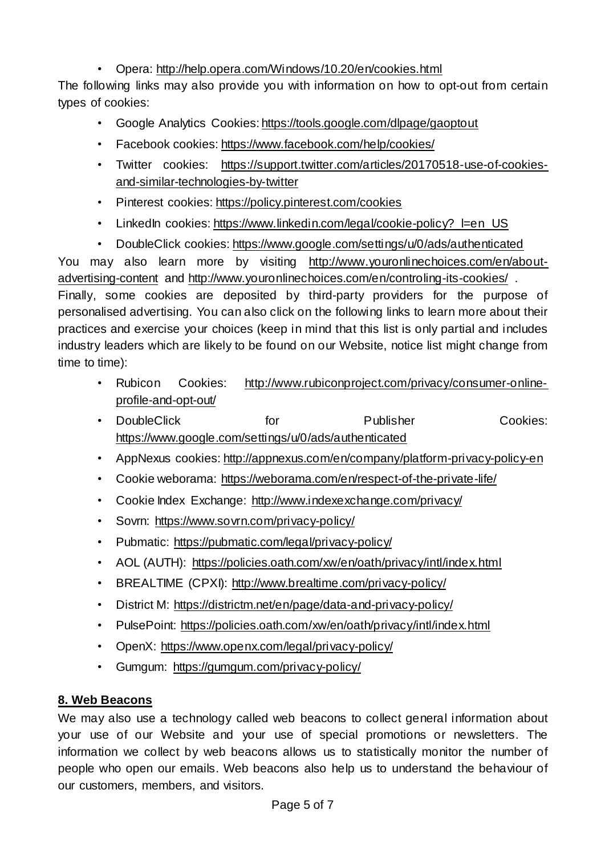# • Opera: <http://help.opera.com/Windows/10.20/en/cookies.html>

The following links may also provide you with information on how to opt-out from certain types of cookies:

- Google Analytics Cookies: <https://tools.google.com/dlpage/gaoptout>
- Facebook cookies: <https://www.facebook.com/help/cookies/>
- Twitter cookies: [https://support.twitter.com/articles/20170518-use-of-cookies](https://support.twitter.com/articles/20170518-use-of-cookies-and-similar-technologies-by-twitter)[and-similar-technologies-by-twitter](https://support.twitter.com/articles/20170518-use-of-cookies-and-similar-technologies-by-twitter)
- Pinterest cookies: <https://policy.pinterest.com/cookies>
- LinkedIn cookies: [https://www.linkedin.com/legal/cookie-policy?\\_l=en\\_US](https://www.linkedin.com/legal/cookie-policy?_l=en_US)
- DoubleClick cookies: <https://www.google.com/settings/u/0/ads/authenticated>

You may also learn more by visiting [http://www.youronlinechoices.com/en/about](http://www.youronlinechoices.com/en/about-advertising-content)[advertising-content](http://www.youronlinechoices.com/en/about-advertising-content) and <http://www.youronlinechoices.com/en/controling-its-cookies/> . Finally, some cookies are deposited by third-party providers for the purpose of personalised advertising. You can also click on the following links to learn more about their practices and exercise your choices (keep in mind that this list is only partial and includes industry leaders which are likely to be found on our Website, notice list might change from time to time):

- Rubicon Cookies: [http://www.rubiconproject.com/privacy/consumer-online](http://www.rubiconproject.com/privacy/consumer-online-profile-and-opt-out/)[profile-and-opt-out/](http://www.rubiconproject.com/privacy/consumer-online-profile-and-opt-out/)
- DoubleClick for **Publisher** Cookies: <https://www.google.com/settings/u/0/ads/authenticated>
- AppNexus cookies: <http://appnexus.com/en/company/platform-privacy-policy-en>
- Cookie weborama: <https://weborama.com/en/respect-of-the-private-life/>
- Cookie Index Exchange: <http://www.indexexchange.com/privacy/>
- Sovrn: <https://www.sovrn.com/privacy-policy/>
- Pubmatic: <https://pubmatic.com/legal/privacy-policy/>
- AOL (AUTH): <https://policies.oath.com/xw/en/oath/privacy/intl/index.html>
- BREALTIME (CPXI): <http://www.brealtime.com/privacy-policy/>
- District M: <https://districtm.net/en/page/data-and-privacy-policy/>
- PulsePoint: <https://policies.oath.com/xw/en/oath/privacy/intl/index.html>
- OpenX: <https://www.openx.com/legal/privacy-policy/>
- Gumgum: <https://gumgum.com/privacy-policy/>

# **8. Web Beacons**

We may also use a technology called web beacons to collect general information about your use of our Website and your use of special promotions or newsletters. The information we collect by web beacons allows us to statistically monitor the number of people who open our emails. Web beacons also help us to understand the behaviour of our customers, members, and visitors.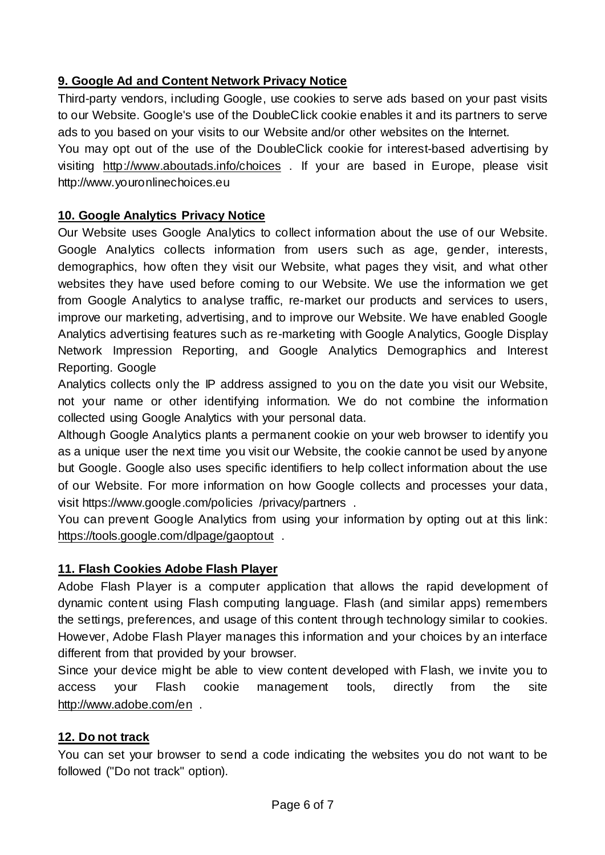# **9. Google Ad and Content Network Privacy Notice**

Third-party vendors, including Google, use cookies to serve ads based on your past visits to our Website. Google's use of the DoubleClick cookie enables it and its partners to serve ads to you based on your visits to our Website and/or other websites on the Internet.

You may opt out of the use of the DoubleClick cookie for interest-based advertising by visiting <http://www.aboutads.info/choices> . If your are based in Europe, please visit http://www.youronlinechoices.eu

### **10. Google Analytics Privacy Notice**

Our Website uses Google Analytics to collect information about the use of our Website. Google Analytics collects information from users such as age, gender, interests, demographics, how often they visit our Website, what pages they visit, and what other websites they have used before coming to our Website. We use the information we get from Google Analytics to analyse traffic, re-market our products and services to users, improve our marketing, advertising, and to improve our Website. We have enabled Google Analytics advertising features such as re-marketing with Google Analytics, Google Display Network Impression Reporting, and Google Analytics Demographics and Interest Reporting. Google

Analytics collects only the IP address assigned to you on the date you visit our Website, not your name or other identifying information. We do not combine the information collected using Google Analytics with your personal data.

Although Google Analytics plants a permanent cookie on your web browser to identify you as a unique user the next time you visit our Website, the cookie cannot be used by anyone but Google. Google also uses specific identifiers to help collect information about the use of our Website. For more information on how Google collects and processes your data, visit https://www.google.com/policies /privacy/partners .

You can prevent Google Analytics from using your information by opting out at this link: <https://tools.google.com/dlpage/gaoptout>.

## **11. Flash Cookies Adobe Flash Player**

Adobe Flash Player is a computer application that allows the rapid development of dynamic content using Flash computing language. Flash (and similar apps) remembers the settings, preferences, and usage of this content through technology similar to cookies. However, Adobe Flash Player manages this information and your choices by an interface different from that provided by your browser.

Since your device might be able to view content developed with Flash, we invite you to access your Flash cookie management tools, directly from the site <http://www.adobe.com/en> .

#### **12. Do not track**

You can set your browser to send a code indicating the websites you do not want to be followed ("Do not track" option).